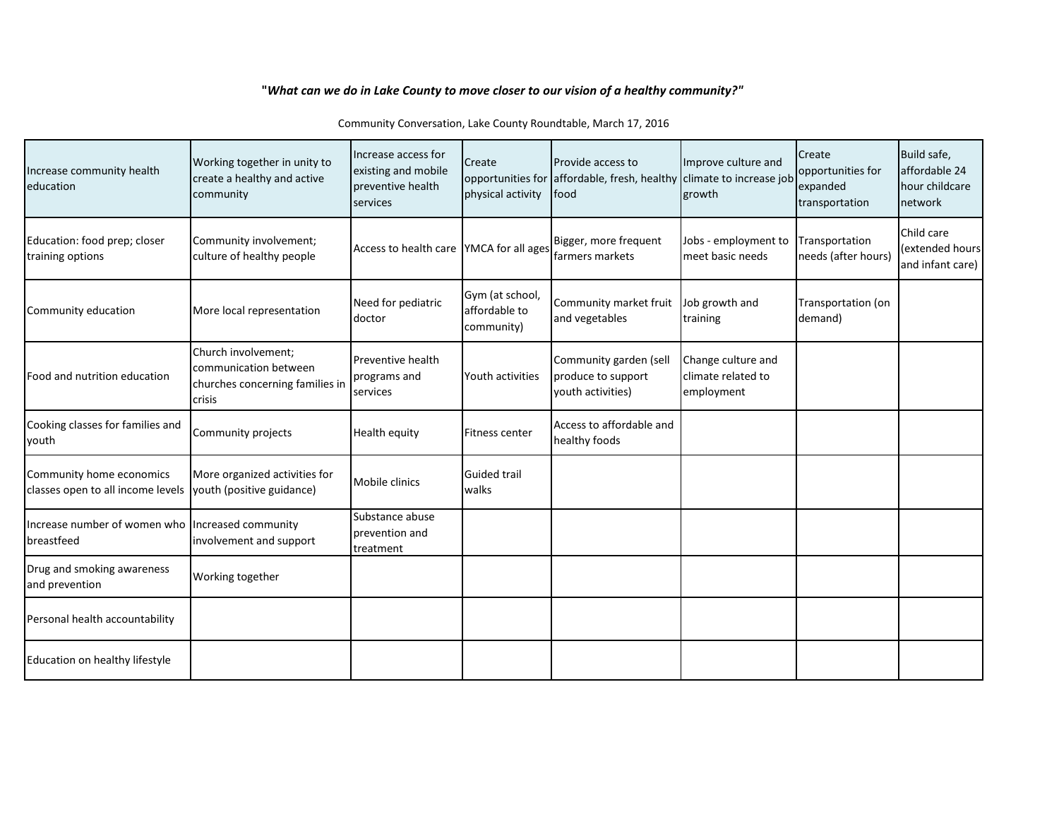## **"***What can we do in Lake County to move closer to our vision of a healthy community?"*

| Increase community health<br>education                         | Working together in unity to<br>create a healthy and active<br>community                  | Increase access for<br>existing and mobile<br>preventive health<br>services | Create<br>physical activity                    | Provide access to<br>opportunities for affordable, fresh, healthy climate to increase job<br>lfood | Improve culture and<br>growth                          | Create<br>opportunities for<br>expanded<br>transportation | Build safe,<br>affordable 24<br>hour childcare<br>network |
|----------------------------------------------------------------|-------------------------------------------------------------------------------------------|-----------------------------------------------------------------------------|------------------------------------------------|----------------------------------------------------------------------------------------------------|--------------------------------------------------------|-----------------------------------------------------------|-----------------------------------------------------------|
| Education: food prep; closer<br>training options               | Community involvement;<br>culture of healthy people                                       | Access to health care YMCA for all ages                                     |                                                | Bigger, more frequent<br><b>I</b> farmers markets                                                  | Jobs - employment to<br>meet basic needs               | Transportation<br>needs (after hours)                     | Child care<br>(extended hours<br>and infant care)         |
| Community education                                            | More local representation                                                                 | Need for pediatric<br>doctor                                                | Gym (at school,<br>affordable to<br>community) | Community market fruit<br>and vegetables                                                           | Job growth and<br>training                             | Transportation (on<br>demand)                             |                                                           |
| Food and nutrition education                                   | Church involvement;<br>communication between<br>churches concerning families in<br>crisis | Preventive health<br>programs and<br>services                               | Youth activities                               | Community garden (sell<br>produce to support<br>youth activities)                                  | Change culture and<br>climate related to<br>employment |                                                           |                                                           |
| Cooking classes for families and<br>youth                      | Community projects                                                                        | Health equity                                                               | Fitness center                                 | Access to affordable and<br>healthy foods                                                          |                                                        |                                                           |                                                           |
| Community home economics<br>classes open to all income levels  | More organized activities for<br>youth (positive guidance)                                | Mobile clinics                                                              | <b>Guided trail</b><br>walks                   |                                                                                                    |                                                        |                                                           |                                                           |
| Increase number of women who Increased community<br>breastfeed | involvement and support                                                                   | Substance abuse<br>prevention and<br>treatment                              |                                                |                                                                                                    |                                                        |                                                           |                                                           |
| Drug and smoking awareness<br>and prevention                   | Working together                                                                          |                                                                             |                                                |                                                                                                    |                                                        |                                                           |                                                           |
| Personal health accountability                                 |                                                                                           |                                                                             |                                                |                                                                                                    |                                                        |                                                           |                                                           |
| Education on healthy lifestyle                                 |                                                                                           |                                                                             |                                                |                                                                                                    |                                                        |                                                           |                                                           |

Community Conversation, Lake County Roundtable, March 17, 2016